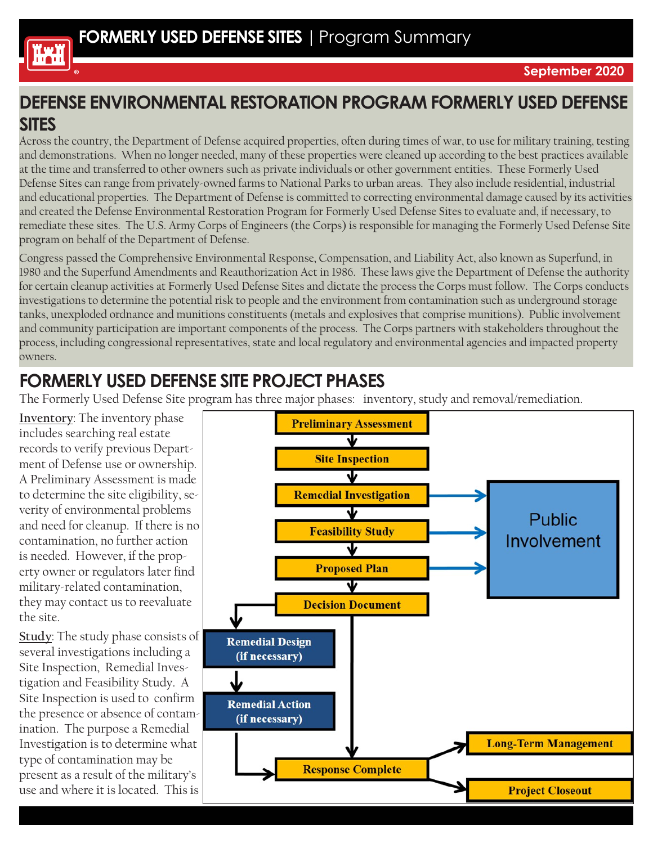

#### **DEFENSE ENVIRONMENTAL RESTORATION PROGRAM FORMERLY USED DEFENSE SITES**

Across the country, the Department of Defense acquired properties, often during times of war, to use for military training, testing and demonstrations. When no longer needed, many of these properties were cleaned up according to the best practices available at the time and transferred to other owners such as private individuals or other government entities. These Formerly Used Defense Sites can range from privately-owned farms to National Parks to urban areas. They also include residential, industrial and educational properties. The Department of Defense is committed to correcting environmental damage caused by its activities and created the Defense Environmental Restoration Program for Formerly Used Defense Sites to evaluate and, if necessary, to remediate these sites. The U.S. Army Corps of Engineers (the Corps) is responsible for managing the Formerly Used Defense Site program on behalf of the Department of Defense.

Congress passed the Comprehensive Environmental Response, Compensation, and Liability Act, also known as Superfund, in 1980 and the Superfund Amendments and Reauthorization Act in 1986. These laws give the Department of Defense the authority for certain cleanup activities at Formerly Used Defense Sites and dictate the process the Corps must follow. The Corps conducts investigations to determine the potential risk to people and the environment from contamination such as underground storage tanks, unexploded ordnance and munitions constituents (metals and explosives that comprise munitions). Public involvement and community participation are important components of the process. The Corps partners with stakeholders throughout the process, including congressional representatives, state and local regulatory and environmental agencies and impacted property owners.

#### **FORMERLY USED DEFENSE SITE PROJECT PHASES**

The Formerly Used Defense Site program has three major phases: inventory, study and removal/remediation.

**Inventory**: The inventory phase includes searching real estate records to verify previous Department of Defense use or ownership. A Preliminary Assessment is made to determine the site eligibility, severity of environmental problems and need for cleanup. If there is no contamination, no further action is needed. However, if the property owner or regulators later find military-related contamination, they may contact us to reevaluate the site.

**Study**: The study phase consists of several investigations including a Site Inspection, Remedial Investigation and Feasibility Study. A Site Inspection is used to confirm the presence or absence of contamination. The purpose a Remedial Investigation is to determine what type of contamination may be present as a result of the military's use and where it is located. This is